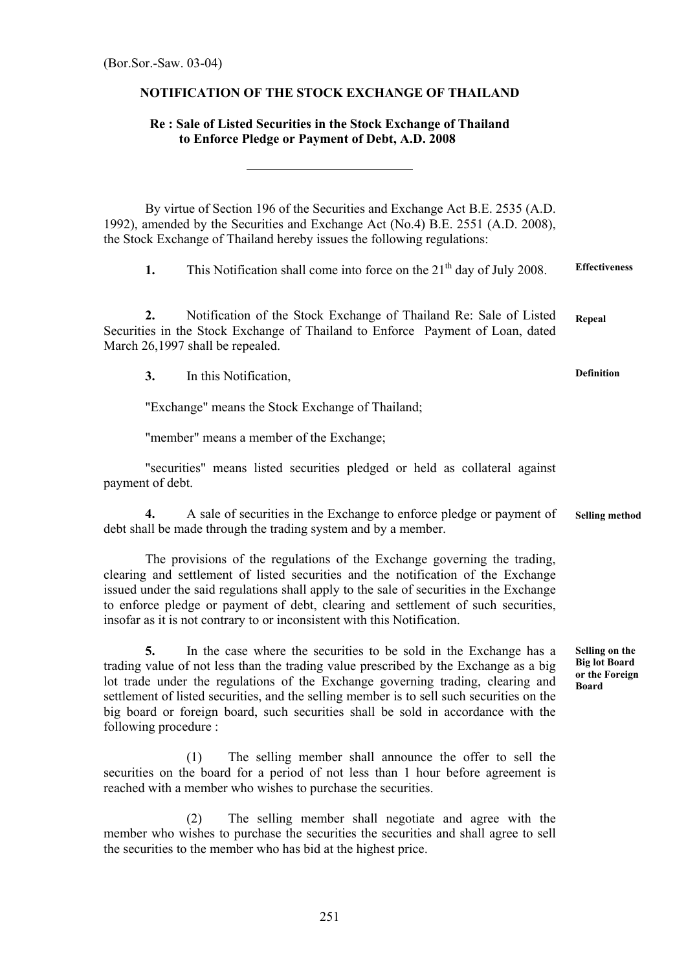## **NOTIFICATION OF THE STOCK EXCHANGE OF THAILAND**

## **Re : Sale of Listed Securities in the Stock Exchange of Thailand to Enforce Pledge or Payment of Debt, A.D. 2008**

By virtue of Section 196 of the Securities and Exchange Act B.E. 2535 (A.D. 1992), amended by the Securities and Exchange Act (No.4) B.E. 2551 (A.D. 2008), the Stock Exchange of Thailand hereby issues the following regulations:

**1.** This Notification shall come into force on the 21<sup>th</sup> day of July 2008. **Effectiveness**

**2.** Notification of the Stock Exchange of Thailand Re: Sale of Listed Securities in the Stock Exchange of Thailand to Enforce Payment of Loan, dated March 26,1997 shall be repealed. **Repeal**

**3.** In this Notification,

"Exchange" means the Stock Exchange of Thailand;

"member" means a member of the Exchange;

"securities" means listed securities pledged or held as collateral against payment of debt.

**4.** A sale of securities in the Exchange to enforce pledge or payment of debt shall be made through the trading system and by a member. **Selling method** 

The provisions of the regulations of the Exchange governing the trading, clearing and settlement of listed securities and the notification of the Exchange issued under the said regulations shall apply to the sale of securities in the Exchange to enforce pledge or payment of debt, clearing and settlement of such securities, insofar as it is not contrary to or inconsistent with this Notification.

**5.** In the case where the securities to be sold in the Exchange has a trading value of not less than the trading value prescribed by the Exchange as a big lot trade under the regulations of the Exchange governing trading, clearing and settlement of listed securities, and the selling member is to sell such securities on the big board or foreign board, such securities shall be sold in accordance with the following procedure :

**Selling on the Big lot Board or the Foreign Board**

(1) The selling member shall announce the offer to sell the securities on the board for a period of not less than 1 hour before agreement is reached with a member who wishes to purchase the securities.

(2) The selling member shall negotiate and agree with the member who wishes to purchase the securities the securities and shall agree to sell the securities to the member who has bid at the highest price.

**Definition**